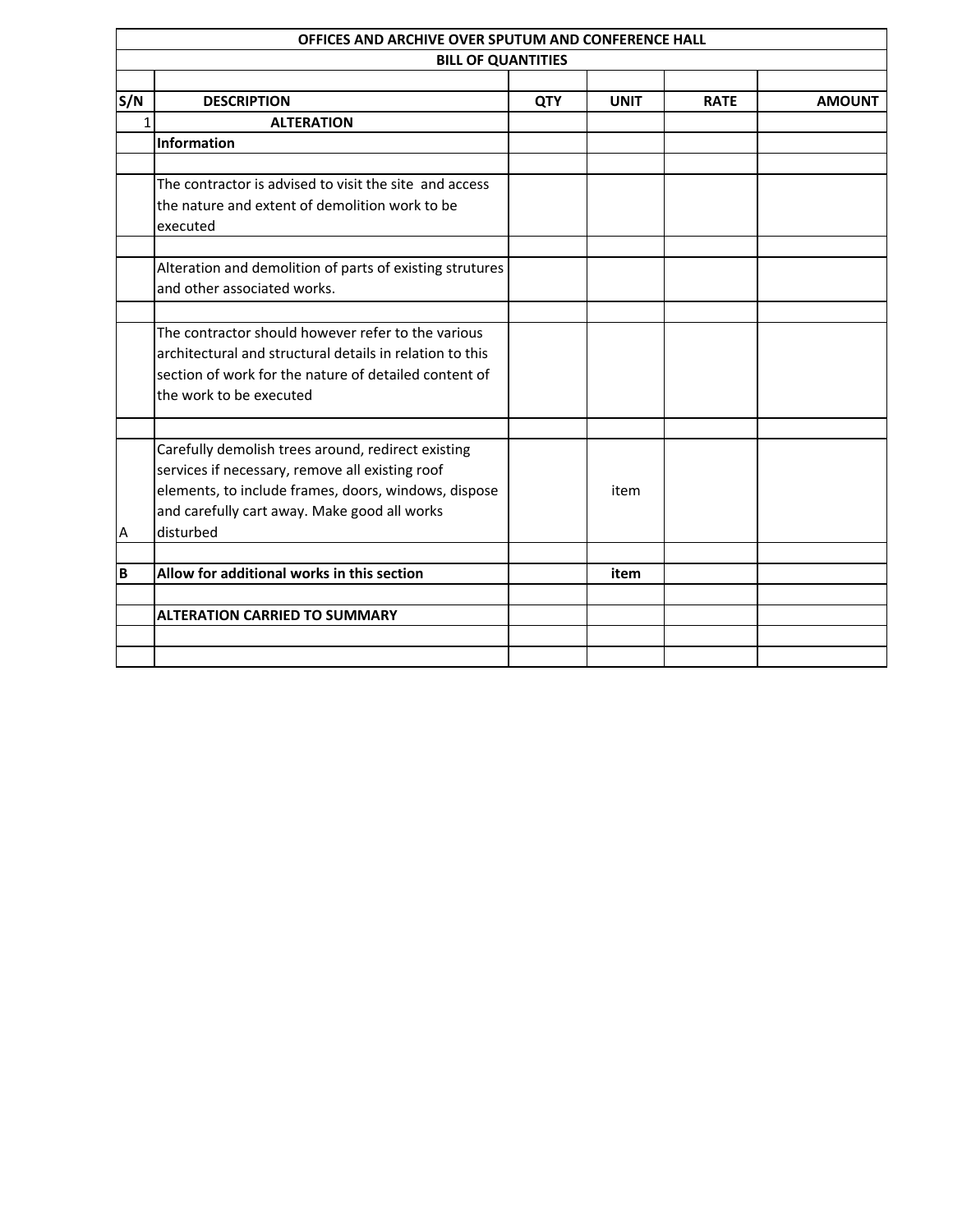|     | OFFICES AND ARCHIVE OVER SPUTUM AND CONFERENCE HALL                                                                                                                                                                        |            |             |             |               |  |
|-----|----------------------------------------------------------------------------------------------------------------------------------------------------------------------------------------------------------------------------|------------|-------------|-------------|---------------|--|
|     | <b>BILL OF QUANTITIES</b>                                                                                                                                                                                                  |            |             |             |               |  |
| S/N | <b>DESCRIPTION</b>                                                                                                                                                                                                         | <b>QTY</b> | <b>UNIT</b> | <b>RATE</b> | <b>AMOUNT</b> |  |
| 1   | <b>ALTERATION</b>                                                                                                                                                                                                          |            |             |             |               |  |
|     | <b>Information</b>                                                                                                                                                                                                         |            |             |             |               |  |
|     | The contractor is advised to visit the site and access<br>the nature and extent of demolition work to be<br>executed                                                                                                       |            |             |             |               |  |
|     | Alteration and demolition of parts of existing strutures<br>and other associated works.                                                                                                                                    |            |             |             |               |  |
|     | The contractor should however refer to the various<br>architectural and structural details in relation to this<br>section of work for the nature of detailed content of<br>the work to be executed                         |            |             |             |               |  |
| A   | Carefully demolish trees around, redirect existing<br>services if necessary, remove all existing roof<br>elements, to include frames, doors, windows, dispose<br>and carefully cart away. Make good all works<br>disturbed |            | item        |             |               |  |
| B   | Allow for additional works in this section                                                                                                                                                                                 |            | item        |             |               |  |
|     | <b>ALTERATION CARRIED TO SUMMARY</b>                                                                                                                                                                                       |            |             |             |               |  |
|     |                                                                                                                                                                                                                            |            |             |             |               |  |
|     |                                                                                                                                                                                                                            |            |             |             |               |  |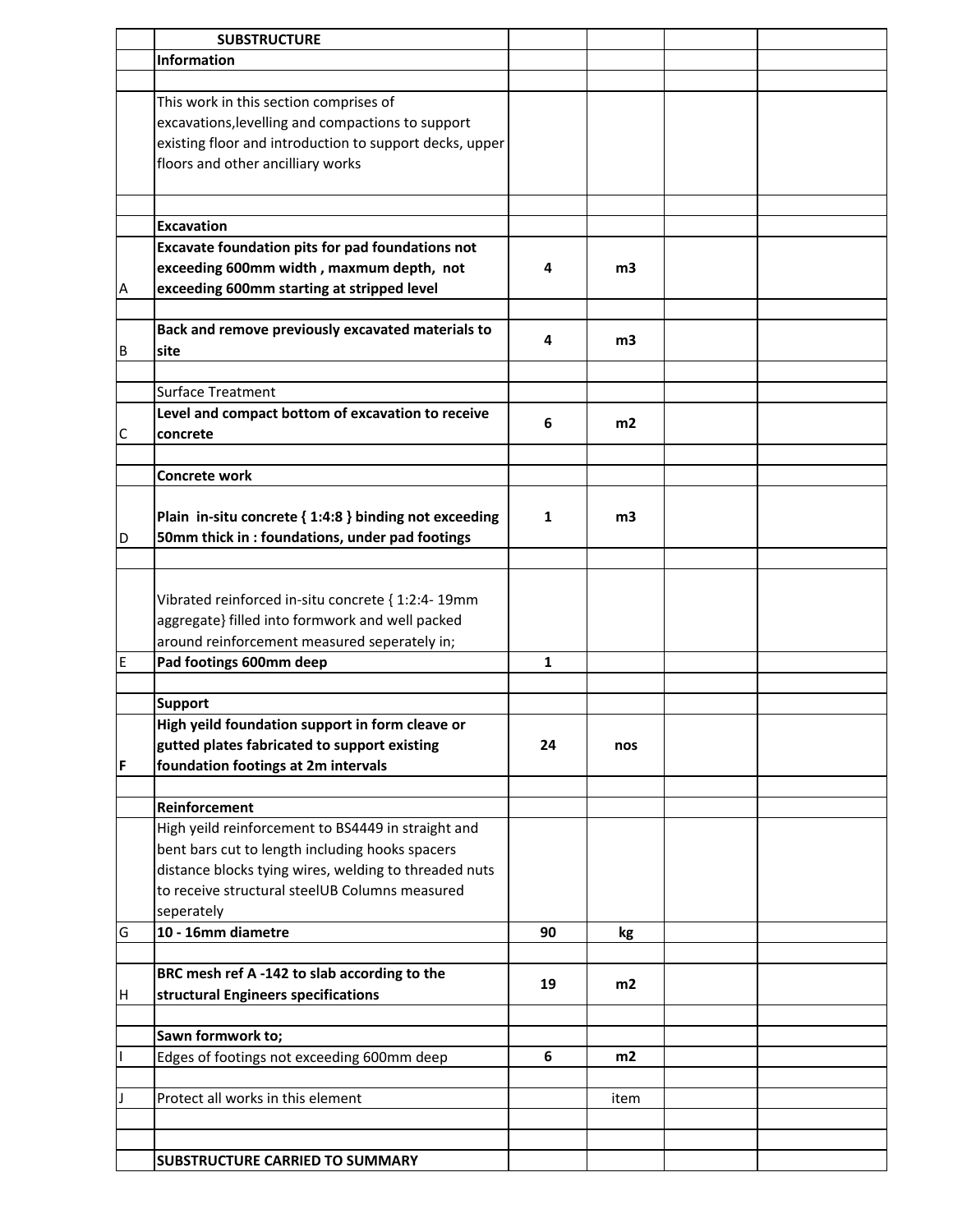|    | <b>SUBSTRUCTURE</b>                                     |    |      |  |
|----|---------------------------------------------------------|----|------|--|
|    | <b>Information</b>                                      |    |      |  |
|    |                                                         |    |      |  |
|    | This work in this section comprises of                  |    |      |  |
|    | excavations, levelling and compactions to support       |    |      |  |
|    | existing floor and introduction to support decks, upper |    |      |  |
|    | floors and other ancilliary works                       |    |      |  |
|    |                                                         |    |      |  |
|    |                                                         |    |      |  |
|    | <b>Excavation</b>                                       |    |      |  |
|    | Excavate foundation pits for pad foundations not        |    |      |  |
|    | exceeding 600mm width, maxmum depth, not                | 4  | m3   |  |
| A  | exceeding 600mm starting at stripped level              |    |      |  |
|    |                                                         |    |      |  |
|    | Back and remove previously excavated materials to       |    |      |  |
| B  | <b>site</b>                                             | 4  | mЗ   |  |
|    |                                                         |    |      |  |
|    | <b>Surface Treatment</b>                                |    |      |  |
|    | Level and compact bottom of excavation to receive       |    |      |  |
| C  | concrete                                                | 6  | m2   |  |
|    |                                                         |    |      |  |
|    | <b>Concrete work</b>                                    |    |      |  |
|    |                                                         |    |      |  |
|    |                                                         |    |      |  |
|    | Plain in-situ concrete { 1:4:8 } binding not exceeding  | 1  | m3   |  |
| D  | 50mm thick in : foundations, under pad footings         |    |      |  |
|    |                                                         |    |      |  |
|    |                                                         |    |      |  |
|    | Vibrated reinforced in-situ concrete { 1:2:4- 19mm      |    |      |  |
|    | aggregate} filled into formwork and well packed         |    |      |  |
|    | around reinforcement measured seperately in;            |    |      |  |
| E  | Pad footings 600mm deep                                 | 1  |      |  |
|    |                                                         |    |      |  |
|    | <b>Support</b>                                          |    |      |  |
|    | High yeild foundation support in form cleave or         |    |      |  |
|    | gutted plates fabricated to support existing            | 24 | nos  |  |
| F  | foundation footings at 2m intervals                     |    |      |  |
|    |                                                         |    |      |  |
|    | Reinforcement                                           |    |      |  |
|    | High yeild reinforcement to BS4449 in straight and      |    |      |  |
|    | bent bars cut to length including hooks spacers         |    |      |  |
|    | distance blocks tying wires, welding to threaded nuts   |    |      |  |
|    | to receive structural steelUB Columns measured          |    |      |  |
|    | seperately                                              |    |      |  |
| G  | 10 - 16mm diametre                                      | 90 | kg   |  |
|    |                                                         |    |      |  |
|    | BRC mesh ref A-142 to slab according to the             | 19 | m2   |  |
| ΙH | structural Engineers specifications                     |    |      |  |
|    |                                                         |    |      |  |
|    | Sawn formwork to;                                       |    |      |  |
|    | Edges of footings not exceeding 600mm deep              | 6  | m2   |  |
|    |                                                         |    |      |  |
|    | Protect all works in this element                       |    | item |  |
|    |                                                         |    |      |  |
|    |                                                         |    |      |  |
|    | SUBSTRUCTURE CARRIED TO SUMMARY                         |    |      |  |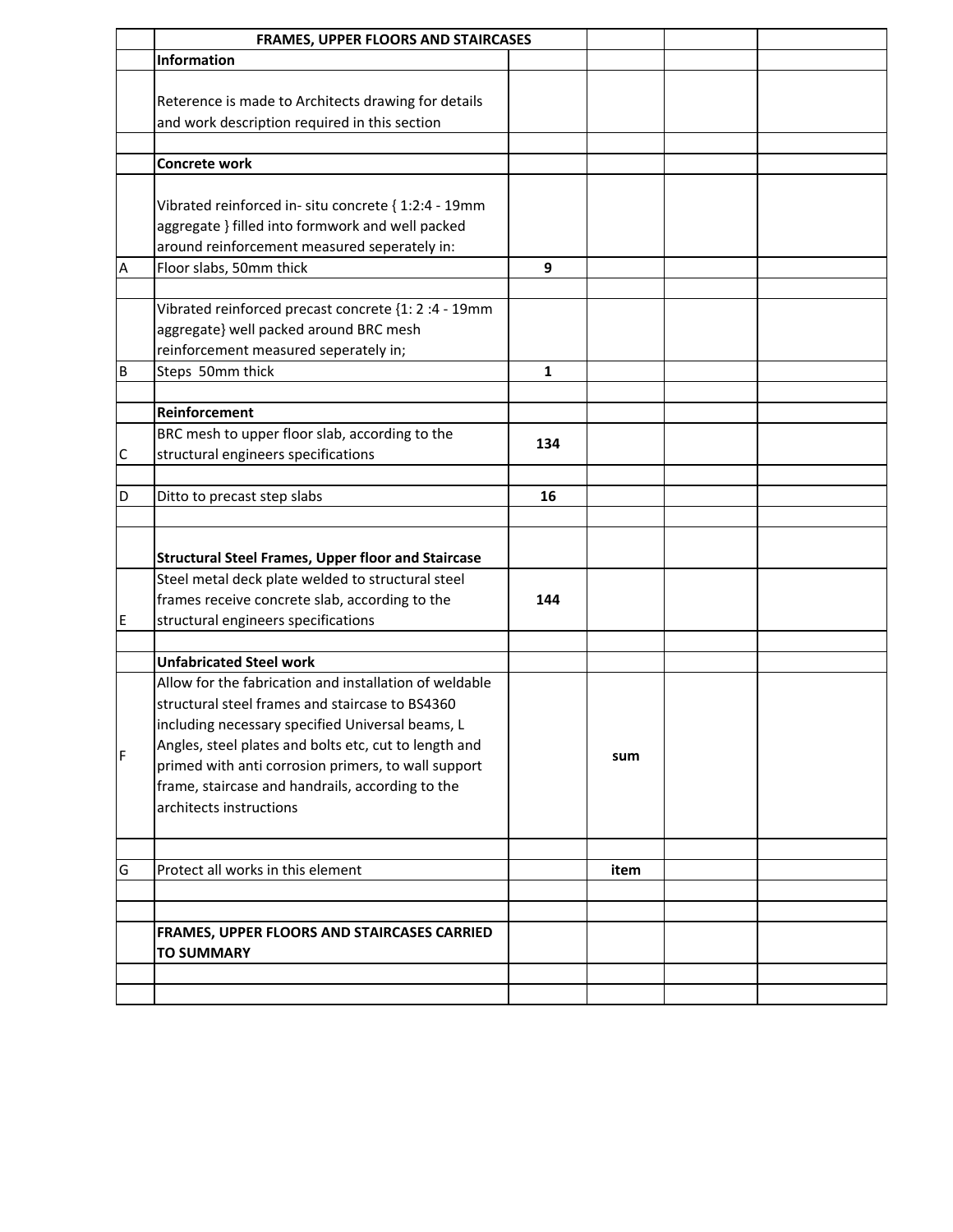|             | <b>FRAMES, UPPER FLOORS AND STAIRCASES</b>                |     |      |  |
|-------------|-----------------------------------------------------------|-----|------|--|
|             | <b>Information</b>                                        |     |      |  |
|             |                                                           |     |      |  |
|             | Reterence is made to Architects drawing for details       |     |      |  |
|             | and work description required in this section             |     |      |  |
|             | Concrete work                                             |     |      |  |
|             |                                                           |     |      |  |
|             | Vibrated reinforced in- situ concrete { 1:2:4 - 19mm      |     |      |  |
|             | aggregate } filled into formwork and well packed          |     |      |  |
|             | around reinforcement measured seperately in:              |     |      |  |
| Α           | Floor slabs, 50mm thick                                   | 9   |      |  |
|             |                                                           |     |      |  |
|             | Vibrated reinforced precast concrete {1: 2 :4 - 19mm      |     |      |  |
|             | aggregate} well packed around BRC mesh                    |     |      |  |
|             | reinforcement measured seperately in;                     |     |      |  |
| B           | Steps 50mm thick                                          | 1   |      |  |
|             |                                                           |     |      |  |
|             | Reinforcement                                             |     |      |  |
|             | BRC mesh to upper floor slab, according to the            |     |      |  |
| $\mathsf C$ | structural engineers specifications                       | 134 |      |  |
|             |                                                           |     |      |  |
| D           | Ditto to precast step slabs                               | 16  |      |  |
|             |                                                           |     |      |  |
|             |                                                           |     |      |  |
|             | <b>Structural Steel Frames, Upper floor and Staircase</b> |     |      |  |
|             | Steel metal deck plate welded to structural steel         |     |      |  |
|             | frames receive concrete slab, according to the            | 144 |      |  |
| E           | structural engineers specifications                       |     |      |  |
|             |                                                           |     |      |  |
|             | <b>Unfabricated Steel work</b>                            |     |      |  |
|             | Allow for the fabrication and installation of weldable    |     |      |  |
|             | structural steel frames and staircase to BS4360           |     |      |  |
|             | including necessary specified Universal beams, L          |     |      |  |
| F           | Angles, steel plates and bolts etc, cut to length and     |     | sum  |  |
|             | primed with anti corrosion primers, to wall support       |     |      |  |
|             | frame, staircase and handrails, according to the          |     |      |  |
|             | architects instructions                                   |     |      |  |
|             |                                                           |     |      |  |
|             |                                                           |     |      |  |
| G           | Protect all works in this element                         |     | item |  |
|             |                                                           |     |      |  |
|             |                                                           |     |      |  |
|             | FRAMES, UPPER FLOORS AND STAIRCASES CARRIED               |     |      |  |
|             | <b>TO SUMMARY</b>                                         |     |      |  |
|             |                                                           |     |      |  |
|             |                                                           |     |      |  |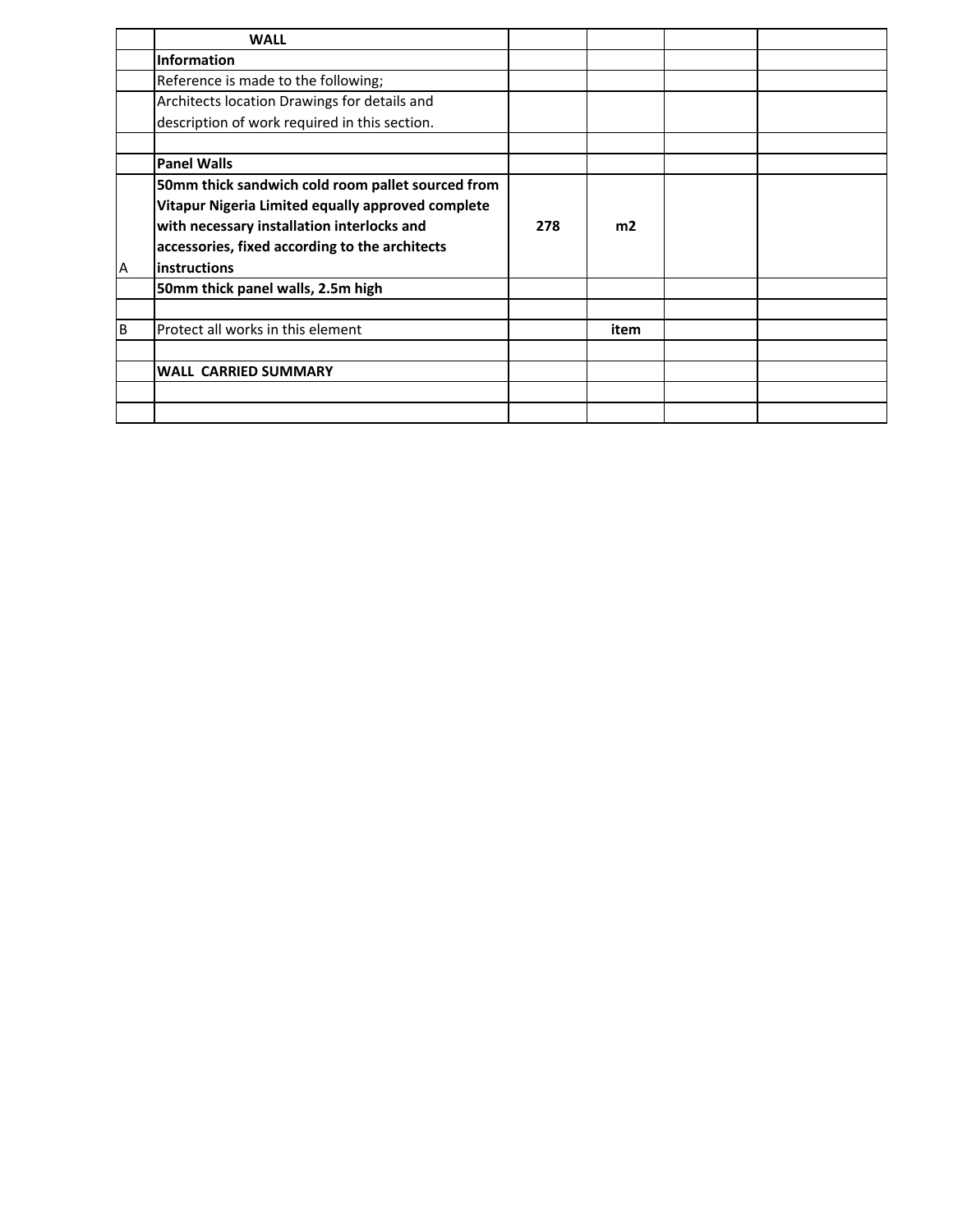|    | <b>WALL</b>                                       |     |                |  |
|----|---------------------------------------------------|-----|----------------|--|
|    | <b>Information</b>                                |     |                |  |
|    | Reference is made to the following;               |     |                |  |
|    | Architects location Drawings for details and      |     |                |  |
|    | description of work required in this section.     |     |                |  |
|    |                                                   |     |                |  |
|    | <b>Panel Walls</b>                                |     |                |  |
|    | 50mm thick sandwich cold room pallet sourced from |     |                |  |
|    | Vitapur Nigeria Limited equally approved complete |     |                |  |
|    | with necessary installation interlocks and        | 278 | m <sub>2</sub> |  |
|    | accessories, fixed according to the architects    |     |                |  |
| A  | <b>instructions</b>                               |     |                |  |
|    | 50mm thick panel walls, 2.5m high                 |     |                |  |
|    |                                                   |     |                |  |
| ΙB | Protect all works in this element                 |     | item           |  |
|    |                                                   |     |                |  |
|    | <b>WALL CARRIED SUMMARY</b>                       |     |                |  |
|    |                                                   |     |                |  |
|    |                                                   |     |                |  |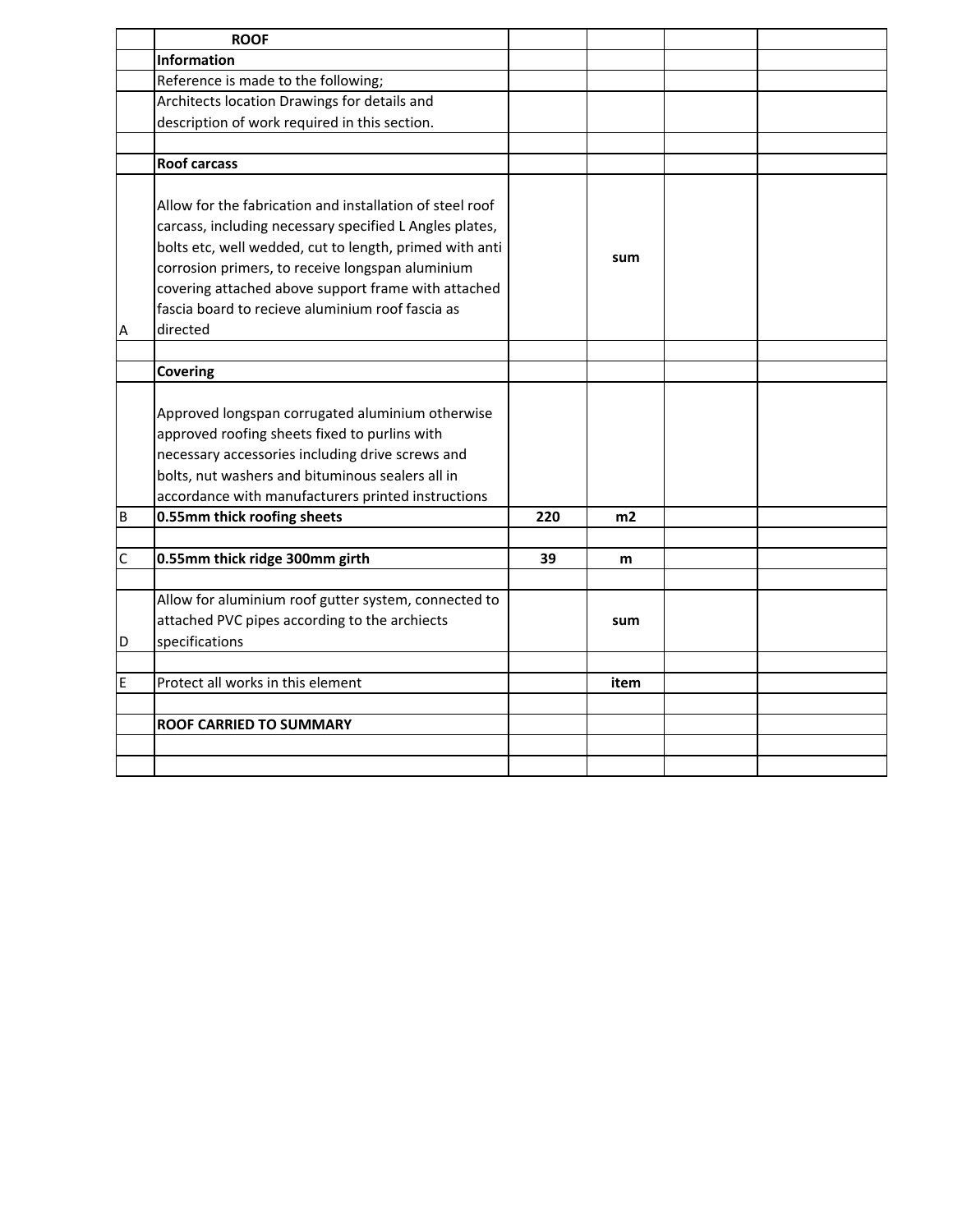|             | <b>ROOF</b>                                                                                                                                                                                                                                                                                                                                               |     |      |  |
|-------------|-----------------------------------------------------------------------------------------------------------------------------------------------------------------------------------------------------------------------------------------------------------------------------------------------------------------------------------------------------------|-----|------|--|
|             | <b>Information</b>                                                                                                                                                                                                                                                                                                                                        |     |      |  |
|             | Reference is made to the following;                                                                                                                                                                                                                                                                                                                       |     |      |  |
|             | Architects location Drawings for details and                                                                                                                                                                                                                                                                                                              |     |      |  |
|             | description of work required in this section.                                                                                                                                                                                                                                                                                                             |     |      |  |
|             |                                                                                                                                                                                                                                                                                                                                                           |     |      |  |
|             | <b>Roof carcass</b>                                                                                                                                                                                                                                                                                                                                       |     |      |  |
| Α           | Allow for the fabrication and installation of steel roof<br>carcass, including necessary specified L Angles plates,<br>bolts etc, well wedded, cut to length, primed with anti<br>corrosion primers, to receive longspan aluminium<br>covering attached above support frame with attached<br>fascia board to recieve aluminium roof fascia as<br>directed |     | sum  |  |
|             |                                                                                                                                                                                                                                                                                                                                                           |     |      |  |
|             | <b>Covering</b>                                                                                                                                                                                                                                                                                                                                           |     |      |  |
|             | Approved longspan corrugated aluminium otherwise<br>approved roofing sheets fixed to purlins with<br>necessary accessories including drive screws and<br>bolts, nut washers and bituminous sealers all in<br>accordance with manufacturers printed instructions                                                                                           |     |      |  |
| B           | 0.55mm thick roofing sheets                                                                                                                                                                                                                                                                                                                               | 220 | m2   |  |
|             |                                                                                                                                                                                                                                                                                                                                                           |     |      |  |
| $\mathsf C$ | 0.55mm thick ridge 300mm girth                                                                                                                                                                                                                                                                                                                            | 39  | m    |  |
|             |                                                                                                                                                                                                                                                                                                                                                           |     |      |  |
| D           | Allow for aluminium roof gutter system, connected to<br>attached PVC pipes according to the archiects<br>specifications                                                                                                                                                                                                                                   |     | sum  |  |
|             | Protect all works in this element                                                                                                                                                                                                                                                                                                                         |     |      |  |
| E           |                                                                                                                                                                                                                                                                                                                                                           |     | item |  |
|             | <b>ROOF CARRIED TO SUMMARY</b>                                                                                                                                                                                                                                                                                                                            |     |      |  |
|             |                                                                                                                                                                                                                                                                                                                                                           |     |      |  |
|             |                                                                                                                                                                                                                                                                                                                                                           |     |      |  |
|             |                                                                                                                                                                                                                                                                                                                                                           |     |      |  |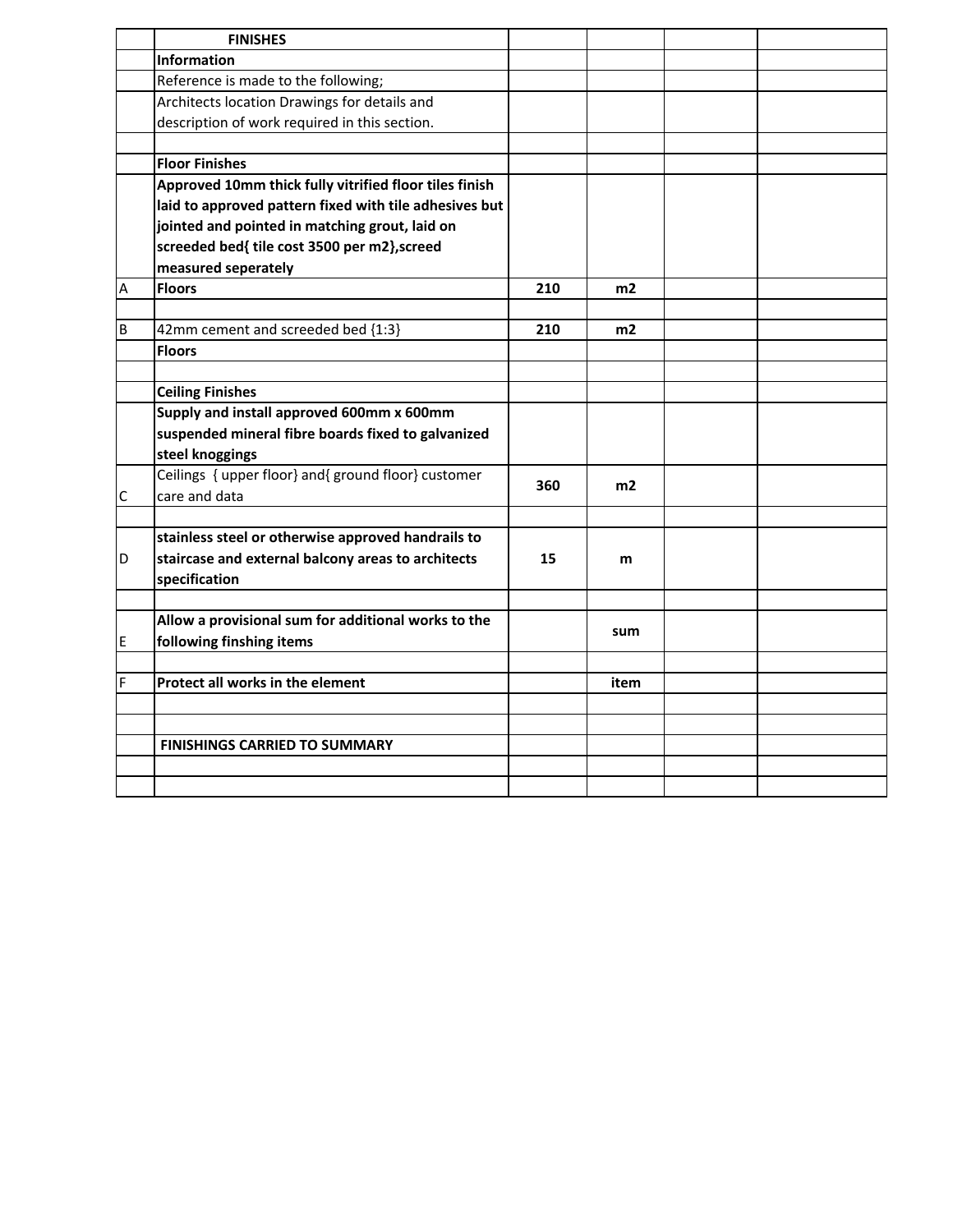|                         | <b>FINISHES</b>                                        |     |      |  |
|-------------------------|--------------------------------------------------------|-----|------|--|
|                         | <b>Information</b>                                     |     |      |  |
|                         | Reference is made to the following;                    |     |      |  |
|                         | Architects location Drawings for details and           |     |      |  |
|                         | description of work required in this section.          |     |      |  |
|                         |                                                        |     |      |  |
|                         | <b>Floor Finishes</b>                                  |     |      |  |
|                         | Approved 10mm thick fully vitrified floor tiles finish |     |      |  |
|                         | laid to approved pattern fixed with tile adhesives but |     |      |  |
|                         | jointed and pointed in matching grout, laid on         |     |      |  |
|                         | screeded bed{ tile cost 3500 per m2}, screed           |     |      |  |
|                         | measured seperately                                    |     |      |  |
| $\overline{\mathsf{A}}$ | <b>Floors</b>                                          | 210 | m2   |  |
|                         |                                                        |     |      |  |
| B                       | 42mm cement and screeded bed {1:3}                     | 210 | m2   |  |
|                         | <b>Floors</b>                                          |     |      |  |
|                         |                                                        |     |      |  |
|                         | <b>Ceiling Finishes</b>                                |     |      |  |
|                         | Supply and install approved 600mm x 600mm              |     |      |  |
|                         | suspended mineral fibre boards fixed to galvanized     |     |      |  |
|                         | steel knoggings                                        |     |      |  |
|                         | Ceilings { upper floor} and{ ground floor} customer    |     |      |  |
| C                       | care and data                                          | 360 | m2   |  |
|                         |                                                        |     |      |  |
|                         | stainless steel or otherwise approved handrails to     |     |      |  |
| D                       | staircase and external balcony areas to architects     | 15  | m    |  |
|                         | specification                                          |     |      |  |
|                         |                                                        |     |      |  |
|                         | Allow a provisional sum for additional works to the    |     |      |  |
| E                       | following finshing items                               |     | sum  |  |
|                         |                                                        |     |      |  |
| F                       | Protect all works in the element                       |     | item |  |
|                         |                                                        |     |      |  |
|                         |                                                        |     |      |  |
|                         | <b>FINISHINGS CARRIED TO SUMMARY</b>                   |     |      |  |
|                         |                                                        |     |      |  |
|                         |                                                        |     |      |  |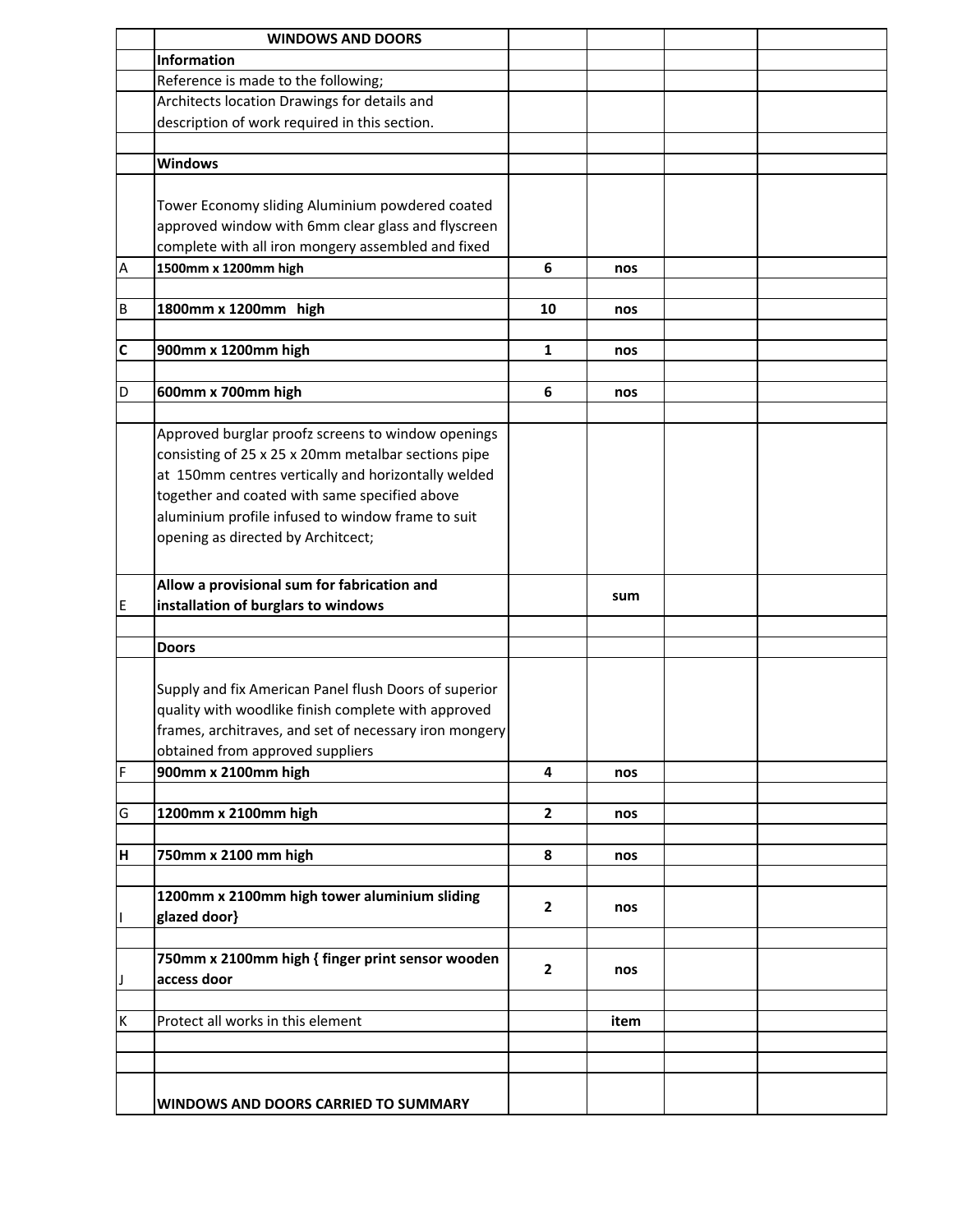|              | <b>WINDOWS AND DOORS</b>                               |                         |      |  |
|--------------|--------------------------------------------------------|-------------------------|------|--|
|              | <b>Information</b>                                     |                         |      |  |
|              | Reference is made to the following;                    |                         |      |  |
|              | Architects location Drawings for details and           |                         |      |  |
|              | description of work required in this section.          |                         |      |  |
|              |                                                        |                         |      |  |
|              | <b>Windows</b>                                         |                         |      |  |
|              |                                                        |                         |      |  |
|              |                                                        |                         |      |  |
|              | Tower Economy sliding Aluminium powdered coated        |                         |      |  |
|              | approved window with 6mm clear glass and flyscreen     |                         |      |  |
|              | complete with all iron mongery assembled and fixed     |                         |      |  |
| A            | 1500mm x 1200mm high                                   | 6                       | nos  |  |
|              |                                                        |                         |      |  |
| B            | 1800mm x 1200mm high                                   | 10                      | nos  |  |
|              |                                                        |                         |      |  |
| $\mathsf{C}$ | 900mm x 1200mm high                                    | 1                       | nos  |  |
|              |                                                        |                         |      |  |
| D            | 600mm x 700mm high                                     | 6                       | nos  |  |
|              |                                                        |                         |      |  |
|              | Approved burglar proofz screens to window openings     |                         |      |  |
|              | consisting of 25 x 25 x 20mm metalbar sections pipe    |                         |      |  |
|              | at 150mm centres vertically and horizontally welded    |                         |      |  |
|              | together and coated with same specified above          |                         |      |  |
|              | aluminium profile infused to window frame to suit      |                         |      |  |
|              | opening as directed by Architcect;                     |                         |      |  |
|              |                                                        |                         |      |  |
|              |                                                        |                         |      |  |
|              | Allow a provisional sum for fabrication and            |                         | sum  |  |
| E            | installation of burglars to windows                    |                         |      |  |
|              |                                                        |                         |      |  |
|              | <b>Doors</b>                                           |                         |      |  |
|              |                                                        |                         |      |  |
|              | Supply and fix American Panel flush Doors of superior  |                         |      |  |
|              | quality with woodlike finish complete with approved    |                         |      |  |
|              | frames, architraves, and set of necessary iron mongery |                         |      |  |
|              | obtained from approved suppliers                       |                         |      |  |
| F            | 900mm x 2100mm high                                    | $\overline{\mathbf{4}}$ | nos  |  |
|              |                                                        |                         |      |  |
| G            | 1200mm x 2100mm high                                   | $\mathbf{2}$            | nos  |  |
|              |                                                        |                         |      |  |
|              | 750mm x 2100 mm high                                   | 8                       |      |  |
| H            |                                                        |                         | nos  |  |
|              |                                                        |                         |      |  |
|              | 1200mm x 2100mm high tower aluminium sliding           | $\overline{2}$          | nos  |  |
|              | glazed door}                                           |                         |      |  |
|              |                                                        |                         |      |  |
|              | 750mm x 2100mm high { finger print sensor wooden       | $\mathbf{2}$            | nos  |  |
| J            | access door                                            |                         |      |  |
|              |                                                        |                         |      |  |
| К            | Protect all works in this element                      |                         | item |  |
|              |                                                        |                         |      |  |
|              |                                                        |                         |      |  |
|              |                                                        |                         |      |  |
|              | <b>WINDOWS AND DOORS CARRIED TO SUMMARY</b>            |                         |      |  |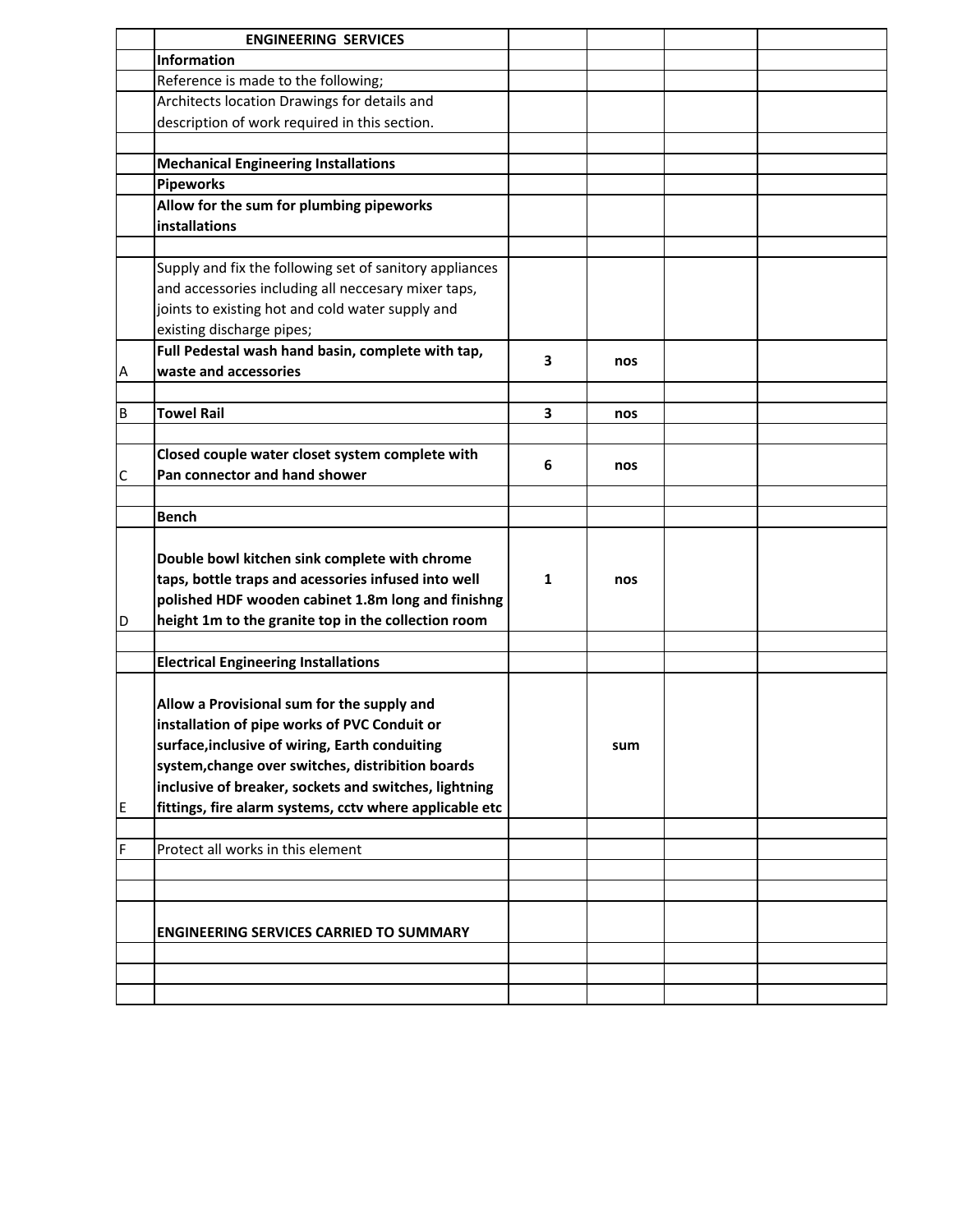|    | <b>ENGINEERING SERVICES</b>                             |   |     |  |
|----|---------------------------------------------------------|---|-----|--|
|    | <b>Information</b>                                      |   |     |  |
|    | Reference is made to the following;                     |   |     |  |
|    | Architects location Drawings for details and            |   |     |  |
|    | description of work required in this section.           |   |     |  |
|    |                                                         |   |     |  |
|    | <b>Mechanical Engineering Installations</b>             |   |     |  |
|    | <b>Pipeworks</b>                                        |   |     |  |
|    | Allow for the sum for plumbing pipeworks                |   |     |  |
|    | installations                                           |   |     |  |
|    |                                                         |   |     |  |
|    | Supply and fix the following set of sanitory appliances |   |     |  |
|    | and accessories including all neccesary mixer taps,     |   |     |  |
|    | joints to existing hot and cold water supply and        |   |     |  |
|    | existing discharge pipes;                               |   |     |  |
|    | Full Pedestal wash hand basin, complete with tap,       |   |     |  |
| A  | waste and accessories                                   | 3 | nos |  |
|    |                                                         |   |     |  |
| B  | <b>Towel Rail</b>                                       | 3 | nos |  |
|    |                                                         |   |     |  |
|    | Closed couple water closet system complete with         |   |     |  |
| С  | Pan connector and hand shower                           | 6 | nos |  |
|    |                                                         |   |     |  |
|    | <b>Bench</b>                                            |   |     |  |
|    |                                                         |   |     |  |
|    | Double bowl kitchen sink complete with chrome           |   |     |  |
|    | taps, bottle traps and acessories infused into well     | 1 | nos |  |
|    | polished HDF wooden cabinet 1.8m long and finishng      |   |     |  |
| ID | height 1m to the granite top in the collection room     |   |     |  |
|    |                                                         |   |     |  |
|    | <b>Electrical Engineering Installations</b>             |   |     |  |
|    |                                                         |   |     |  |
|    | Allow a Provisional sum for the supply and              |   |     |  |
|    | installation of pipe works of PVC Conduit or            |   |     |  |
|    | surface, inclusive of wiring, Earth conduiting          |   | sum |  |
|    | system, change over switches, distribition boards       |   |     |  |
|    | inclusive of breaker, sockets and switches, lightning   |   |     |  |
| E  | fittings, fire alarm systems, cctv where applicable etc |   |     |  |
|    |                                                         |   |     |  |
| F  | Protect all works in this element                       |   |     |  |
|    |                                                         |   |     |  |
|    |                                                         |   |     |  |
|    |                                                         |   |     |  |
|    | <b>ENGINEERING SERVICES CARRIED TO SUMMARY</b>          |   |     |  |
|    |                                                         |   |     |  |
|    |                                                         |   |     |  |
|    |                                                         |   |     |  |
|    |                                                         |   |     |  |